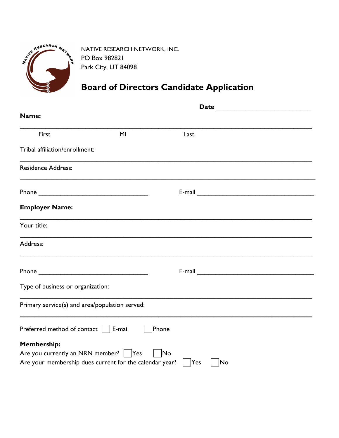

NATIVE RESEARCH NETWORK, INC. PO Box 982821 Park City, UT 84098

## Board of Directors Candidate Application

| Name:                                                   |                |                                                                                                      |  |
|---------------------------------------------------------|----------------|------------------------------------------------------------------------------------------------------|--|
| First                                                   | M <sub>l</sub> | Last                                                                                                 |  |
| Tribal affiliation/enrollment:                          |                |                                                                                                      |  |
| <b>Residence Address:</b>                               |                | ,我们也不会有什么。""我们的人,我们也不会有什么?""我们的人,我们也不会有什么?""我们的人,我们也不会有什么?""我们的人,我们也不会有什么?""我们的人                     |  |
|                                                         |                |                                                                                                      |  |
| <b>Employer Name:</b>                                   |                |                                                                                                      |  |
| Your title:                                             |                |                                                                                                      |  |
| Address:                                                |                |                                                                                                      |  |
|                                                         |                | E-mail 2008 2008 2010 2010 2010 2010 2011 2012 2013 2014 2015 2016 2017 2018 2019 2019 2019 2019 201 |  |
| Type of business or organization:                       |                |                                                                                                      |  |
| Primary service(s) and area/population served:          |                |                                                                                                      |  |
| Preferred method of contact $\vert \vert$ E-mail        |                | Phone                                                                                                |  |
| <b>Membership:</b>                                      |                |                                                                                                      |  |
| Are you currently an NRN member?   Yes                  |                | N <sub>o</sub>                                                                                       |  |
| Are your membership dues current for the calendar year? |                | Yes<br> No                                                                                           |  |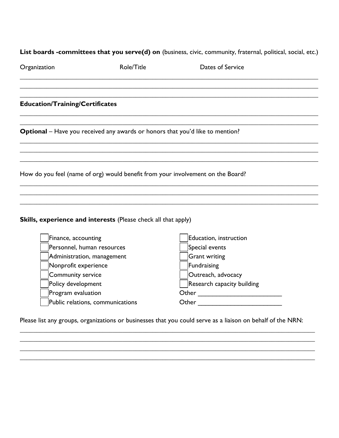## List boards -committees that you serve(d) on (business, civic, community, fraternal, political, social, etc.)

| Organization                           | Role/Title                                                            | Dates of Service                                                                     |  |
|----------------------------------------|-----------------------------------------------------------------------|--------------------------------------------------------------------------------------|--|
| <b>Education/Training/Certificates</b> |                                                                       |                                                                                      |  |
|                                        |                                                                       | <b>Optional</b> – Have you received any awards or honors that you'd like to mention? |  |
|                                        |                                                                       |                                                                                      |  |
|                                        |                                                                       | How do you feel (name of org) would benefit from your involvement on the Board?      |  |
|                                        |                                                                       |                                                                                      |  |
|                                        | <b>Skills, experience and interests (Please check all that apply)</b> |                                                                                      |  |
| Finance, accounting                    |                                                                       | Education, instruction                                                               |  |
|                                        | Personnel, human resources                                            | Special events                                                                       |  |
|                                        | Administration, management                                            | <b>Grant writing</b>                                                                 |  |
| Nonprofit experience                   |                                                                       | Fundraising                                                                          |  |
| Community service                      |                                                                       | Outreach, advocacy                                                                   |  |
| Policy development                     |                                                                       | Research capacity building                                                           |  |
| Program evaluation                     |                                                                       | Other                                                                                |  |

Please list any groups, organizations or businesses that you could serve as a liaison on behalf of the NRN:

Other \_\_\_\_\_\_\_\_\_\_\_\_\_\_\_\_\_\_\_\_\_\_\_

Public relations, communications

\_\_\_\_\_\_\_\_\_\_\_\_\_\_\_\_\_\_\_\_\_\_\_\_\_\_\_\_\_\_\_\_\_\_\_\_\_\_\_\_\_\_\_\_\_\_\_\_\_\_\_\_\_\_\_\_\_\_\_\_\_\_\_\_\_\_\_\_\_\_\_\_\_\_\_\_\_\_\_\_\_\_\_\_\_\_\_\_\_ \_\_\_\_\_\_\_\_\_\_\_\_\_\_\_\_\_\_\_\_\_\_\_\_\_\_\_\_\_\_\_\_\_\_\_\_\_\_\_\_\_\_\_\_\_\_\_\_\_\_\_\_\_\_\_\_\_\_\_\_\_\_\_\_\_\_\_\_\_\_\_\_\_\_\_\_\_\_\_\_\_\_\_\_\_\_\_\_\_ \_\_\_\_\_\_\_\_\_\_\_\_\_\_\_\_\_\_\_\_\_\_\_\_\_\_\_\_\_\_\_\_\_\_\_\_\_\_\_\_\_\_\_\_\_\_\_\_\_\_\_\_\_\_\_\_\_\_\_\_\_\_\_\_\_\_\_\_\_\_\_\_\_\_\_\_\_\_\_\_\_\_\_\_\_\_\_\_\_

\_\_\_\_\_\_\_\_\_\_\_\_\_\_\_\_\_\_\_\_\_\_\_\_\_\_\_\_\_\_\_\_\_\_\_\_\_\_\_\_\_\_\_\_\_\_\_\_\_\_\_\_\_\_\_\_\_\_\_\_\_\_\_\_\_\_\_\_\_\_\_\_\_\_\_\_\_\_\_\_\_\_\_\_\_\_\_\_\_